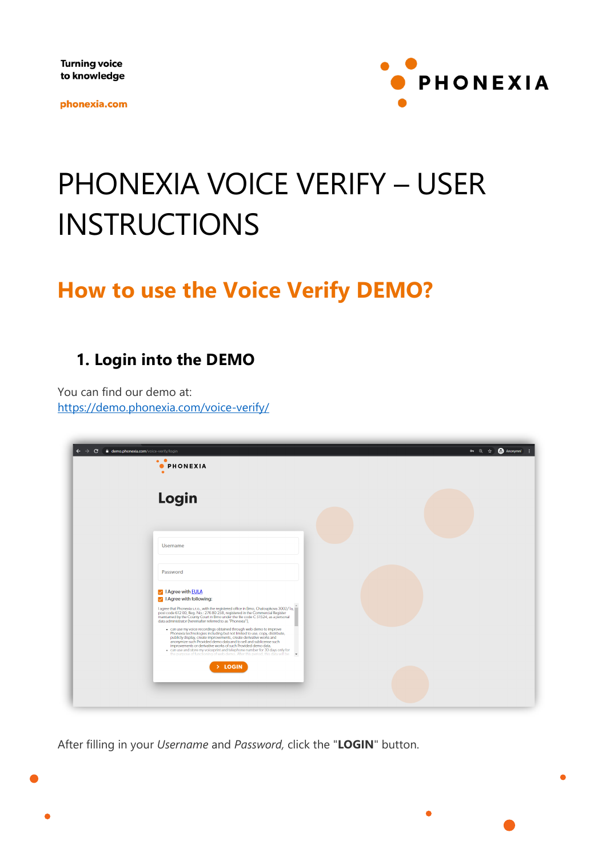**Turning voice** to knowledge

phonexia.com



# PHONEXIA VOICE VERIFY – USER INSTRUCTIONS

## **How to use the Voice Verify DEMO?**

### **1. Login into the DEMO**

You can find our demo at: <https://demo.phonexia.com/voice-verify/>

| demo.phonexia.com/voice-verify/login<br>c<br>$\bullet$ $\bullet$<br><b>O</b> PHONEXIA                                                                                                                                                                                                                                                                                                                                                                                                                                                                                                                                                                                                                                                                                                                                                                                                                      | or Q ☆ ● Anonymní |
|------------------------------------------------------------------------------------------------------------------------------------------------------------------------------------------------------------------------------------------------------------------------------------------------------------------------------------------------------------------------------------------------------------------------------------------------------------------------------------------------------------------------------------------------------------------------------------------------------------------------------------------------------------------------------------------------------------------------------------------------------------------------------------------------------------------------------------------------------------------------------------------------------------|-------------------|
| Login                                                                                                                                                                                                                                                                                                                                                                                                                                                                                                                                                                                                                                                                                                                                                                                                                                                                                                      |                   |
| <b>Username</b>                                                                                                                                                                                                                                                                                                                                                                                                                                                                                                                                                                                                                                                                                                                                                                                                                                                                                            |                   |
| Password<br>I Agree with <b>EULA</b>                                                                                                                                                                                                                                                                                                                                                                                                                                                                                                                                                                                                                                                                                                                                                                                                                                                                       |                   |
| $\sqrt{\phantom{a}}$   Agree with following:<br>I agree that Phonexia s.r.o., with the registered office in Brno, Chaloupkova 3002/la,<br>post code 612 00, Reg. No.: 276 80 258, registered in the Commercial Register<br>maintained by the County Court in Brno under the file code C 51524, as a personal<br>data administrator (hereinafter referred to as "Phonexia").<br>. can use my voice recordings obtained through web demo to improve<br>Phonexia technologies including but not limited to use, copy, distribute,<br>publicly display, create improvements, create derivative works and<br>anonymize such Provided demo data and to sell and sublicense such<br>improvements or derivative works of such Provided demo data.<br>. can use and store my voiceprint and telephone number for 30 days only for<br>the purpose of functioning of web demo. After this period, this data will be v |                   |
| > LOGIN                                                                                                                                                                                                                                                                                                                                                                                                                                                                                                                                                                                                                                                                                                                                                                                                                                                                                                    |                   |

After filling in your *Username* and *Password,* click the "**LOGIN**" button.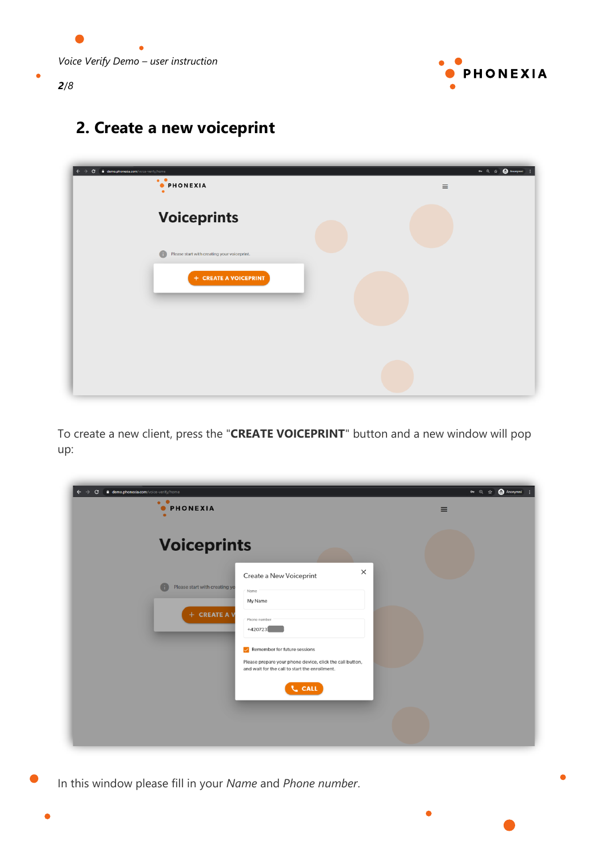

ó

### **2. Create a new voiceprint**

| demo.phonexia.com/voice-verify/home<br>$\mathbf{C}$<br>$\bullet$ . $\bullet$<br><b>OPHONEXIA</b> | <b>@</b> Anonymní<br>07 Q ☆<br>$\equiv$ |
|--------------------------------------------------------------------------------------------------|-----------------------------------------|
| <b>Voiceprints</b>                                                                               |                                         |
| Please start with creating your voiceprint.                                                      |                                         |
| + CREATE A VOICEPRINT                                                                            |                                         |
|                                                                                                  |                                         |
|                                                                                                  |                                         |
|                                                                                                  |                                         |

To create a new client, press the "**CREATE VOICEPRINT**" button and a new window will pop up:

| demo.phonexia.com/voice-verify/home<br>c<br>$\bullet$ $\bullet$<br><b>PHONEXIA</b><br>$\bullet$                                                                                                                                                                                                   | <b>Anonymní</b><br>07 Q ☆<br>$\equiv$ |
|---------------------------------------------------------------------------------------------------------------------------------------------------------------------------------------------------------------------------------------------------------------------------------------------------|---------------------------------------|
| <b>Voiceprints</b>                                                                                                                                                                                                                                                                                |                                       |
| $\times$<br>Create a New Voiceprint<br>Please start with creating yo<br>Name<br>My Name<br>+ CREATE A V<br>Phone number<br>+420723<br>Remember for future sessions<br>Please prepare your phone device, click the call button,<br>and wait for the call to start the enrollment.<br><b>L</b> CALL |                                       |

In this window please fill in your *Name* and *Phone number*.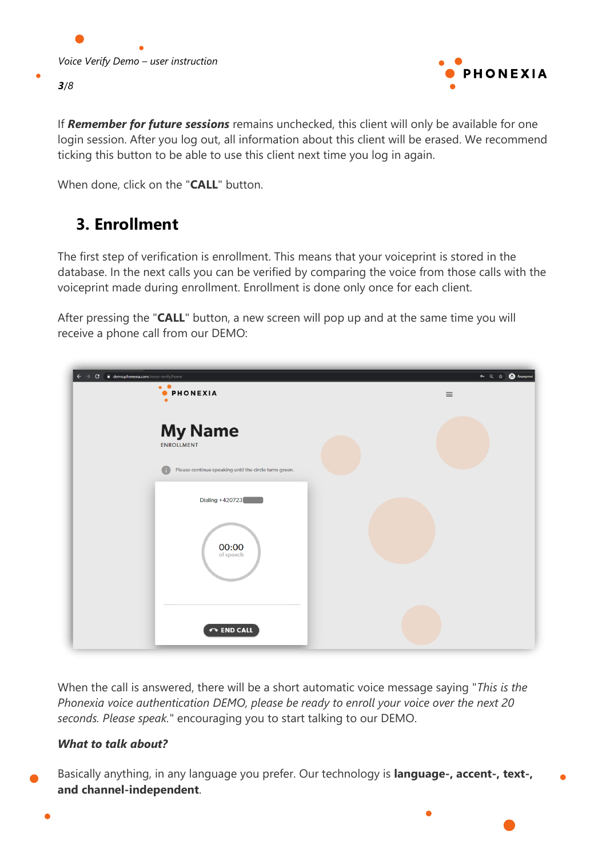

If *Remember for future sessions* remains unchecked, this client will only be available for one login session. After you log out, all information about this client will be erased. We recommend ticking this button to be able to use this client next time you log in again.

When done, click on the "**CALL**" button.

### **3. Enrollment**

The first step of verification is enrollment. This means that your voiceprint is stored in the database. In the next calls you can be verified by comparing the voice from those calls with the voiceprint made during enrollment. Enrollment is done only once for each client.

After pressing the "**CALL**" button, a new screen will pop up and at the same time you will receive a phone call from our DEMO:



When the call is answered, there will be a short automatic voice message saying "*This is the Phonexia voice authentication DEMO, please be ready to enroll your voice over the next 20 seconds. Please speak.*" encouraging you to start talking to our DEMO.

#### *What to talk about?*

Basically anything, in any language you prefer. Our technology is **language-, accent-, text-, and channel-independent**.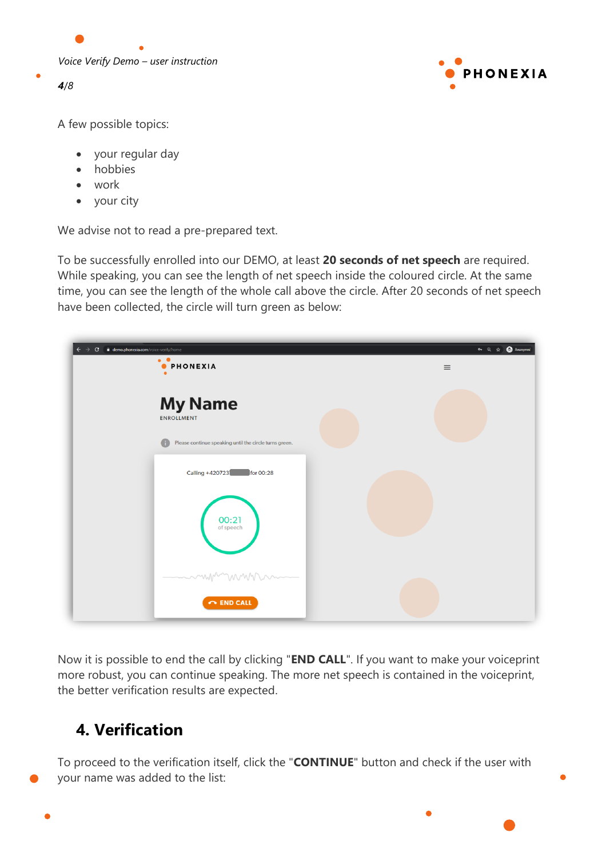



A few possible topics:

- your regular day
- hobbies
- work
- your city

We advise not to read a pre-prepared text.

To be successfully enrolled into our DEMO, at least **20 seconds of net speech** are required. While speaking, you can see the length of net speech inside the coloured circle. At the same time, you can see the length of the whole call above the circle. After 20 seconds of net speech have been collected, the circle will turn green as below:

| demo.phonexia.com/voice-verify/home<br>$\mathbf{C}$<br>$\bullet$ $\bullet$<br><b>O</b> PHONEXIA | <b>@</b> Anonymní<br>• ◎ ☆<br>$\equiv$ |
|-------------------------------------------------------------------------------------------------|----------------------------------------|
| <b>My Name</b><br><b>ENROLLMENT</b>                                                             |                                        |
| Please continue speaking until the circle turns green.<br>Œ                                     |                                        |
| Calling +420723<br>for 00:28                                                                    |                                        |
| $00:21$<br>of speech                                                                            |                                        |
| mmmmmm<br>$\leftrightarrow$ END CALL                                                            |                                        |

Now it is possible to end the call by clicking "**END CALL**". If you want to make your voiceprint more robust, you can continue speaking. The more net speech is contained in the voiceprint, the better verification results are expected.

### **4. Verification**

To proceed to the verification itself, click the "**CONTINUE**" button and check if the user with your name was added to the list: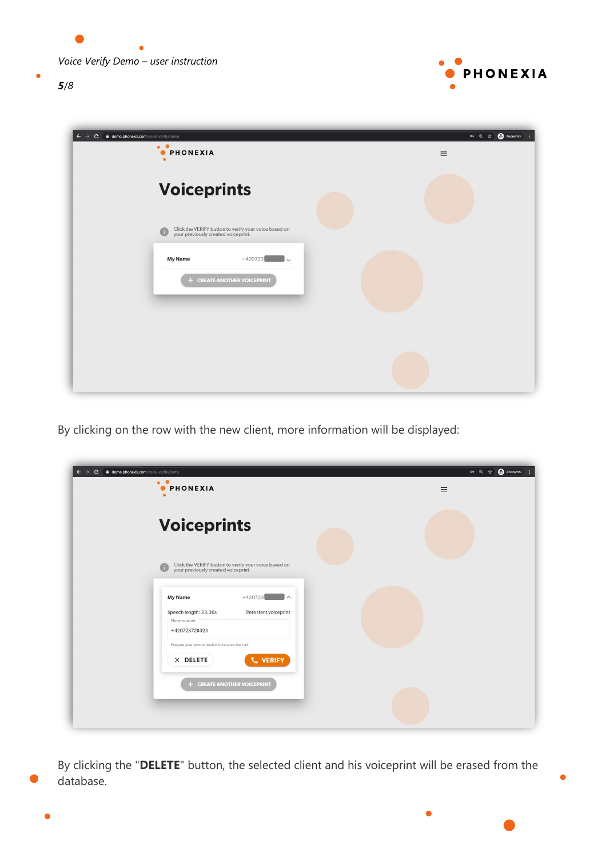*Voice Verify Demo – user instruction*



¢



 $\bullet$ 

| demo.phonexia.com/voice-verify/home<br>$\mathbf{C}$<br>$\bullet$ $\bullet$<br><b>PHONEXIA</b>     | Anonymní :<br>00 Q ☆<br>$\equiv$ |
|---------------------------------------------------------------------------------------------------|----------------------------------|
| <b>Voiceprints</b>                                                                                |                                  |
| Click the VERIFY button to verify your voice based on<br>your previously created voiceprint.<br>G |                                  |
| <b>My Name</b><br>$+420723$<br>$\checkmark$<br>+ CREATE ANOTHER VOICEPRINT                        |                                  |
|                                                                                                   |                                  |
|                                                                                                   |                                  |
|                                                                                                   |                                  |

By clicking on the row with the new client, more information will be displayed:

| demo.phonexia.com/voice-verify/home<br>c<br>$\bullet$ $\bullet$<br><b>PHONEXIA</b><br>$\bullet$           | <b>A</b> Anonymní<br>◎ Q ☆<br>$\equiv$ |
|-----------------------------------------------------------------------------------------------------------|----------------------------------------|
| <b>Voiceprints</b>                                                                                        |                                        |
| Click the VERIFY button to verify your voice based on<br>your previously created voiceprint.<br>G         |                                        |
| $+420723$<br><b>My Name</b><br>$\wedge$<br>Speech length: 23.36s<br>Persistent voiceprint<br>Phone number |                                        |
| +420723728323<br>Prepare your phone device to receive the call.<br><b>L</b> VERIFY<br>$\times$ DELETE     |                                        |
| + CREATE ANOTHER VOICEPRINT                                                                               |                                        |
|                                                                                                           |                                        |

By clicking the "**DELETE**" button, the selected client and his voiceprint will be erased from the database.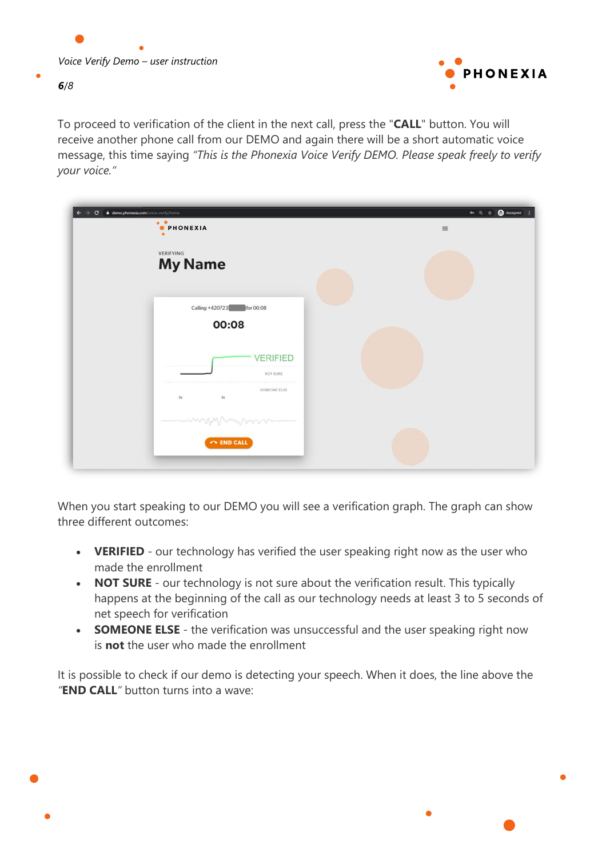

To proceed to verification of the client in the next call, press the "**CALL**" button. You will receive another phone call from our DEMO and again there will be a short automatic voice message, this time saying *"This is the Phonexia Voice Verify DEMO. Please speak freely to verify your voice."*

| $\mathbf{C}$<br>demo.phonexia.com/voice-verify/home<br>$\bullet$<br><b>O</b> PHONEXIA<br>$\bullet$ | <b>O</b> Anonymní<br>$\theta$ $\theta$ $\theta$<br>$\equiv$ |
|----------------------------------------------------------------------------------------------------|-------------------------------------------------------------|
| VERIFYING<br><b>My Name</b>                                                                        |                                                             |
| Calling +420723<br>for 00:08<br>00:08                                                              |                                                             |
| <b>VERIFIED</b><br>.<br>NOT SURE<br>SOMEONE ELSE                                                   |                                                             |
| 5s<br>0s<br>mummynmmm                                                                              |                                                             |
| $\sim$ END CALL                                                                                    |                                                             |

When you start speaking to our DEMO you will see a verification graph. The graph can show three different outcomes:

- **VERIFIED** our technology has verified the user speaking right now as the user who made the enrollment
- **NOT SURE** our technology is not sure about the verification result. This typically happens at the beginning of the call as our technology needs at least 3 to 5 seconds of net speech for verification
- **SOMEONE ELSE** the verification was unsuccessful and the user speaking right now is **not** the user who made the enrollment

It is possible to check if our demo is detecting your speech. When it does, the line above the *"***END CALL***"* button turns into a wave: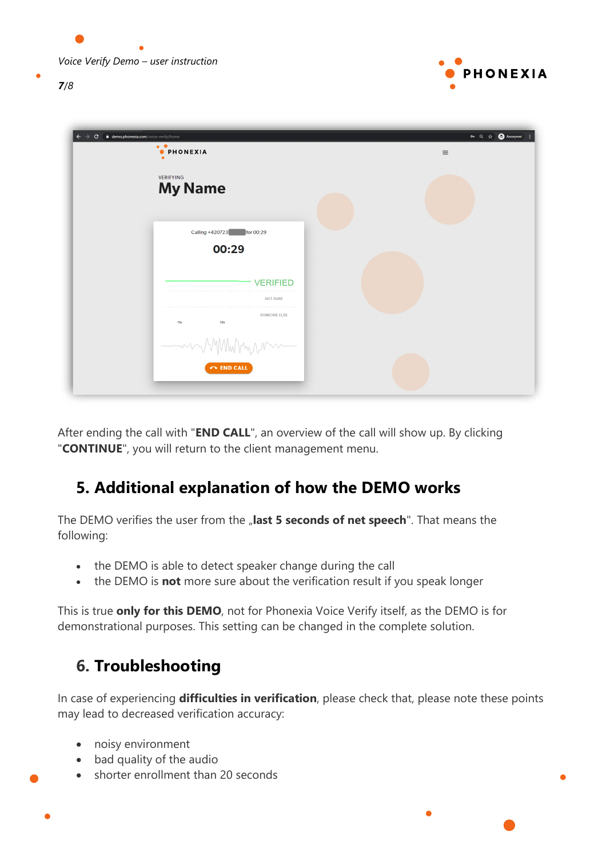

| $\mathbf{C}$ | demo.phonexia.com/voice-verify/home<br>$\bullet\quad \bullet$<br><b>O</b> PHONEXIA<br>$\bullet$ | or Q ☆ Convmní<br>$\equiv$ |
|--------------|-------------------------------------------------------------------------------------------------|----------------------------|
|              | <b>VERIFYING</b><br><b>My Name</b>                                                              |                            |
|              | Calling +420723<br>for 00:29<br>00:29                                                           |                            |
|              | <b>VERIFIED</b><br><b>NOT SURE</b>                                                              |                            |
|              | <b>SOMEONE ELSE</b><br>15s<br><b>20s</b>                                                        |                            |
|              | -murry<br>VYNW Myrn<br>$\curvearrowright$ END CALL                                              |                            |

After ending the call with "**END CALL**", an overview of the call will show up. By clicking "**CONTINUE**", you will return to the client management menu.

### **5. Additional explanation of how the DEMO works**

The DEMO verifies the user from the "last 5 seconds of net speech". That means the following:

- the DEMO is able to detect speaker change during the call
- the DEMO is **not** more sure about the verification result if you speak longer

This is true **only for this DEMO**, not for Phonexia Voice Verify itself, as the DEMO is for demonstrational purposes. This setting can be changed in the complete solution.

### **6. Troubleshooting**

In case of experiencing **difficulties in verification**, please check that, please note these points may lead to decreased verification accuracy:

- noisy environment
- bad quality of the audio
- shorter enrollment than 20 seconds